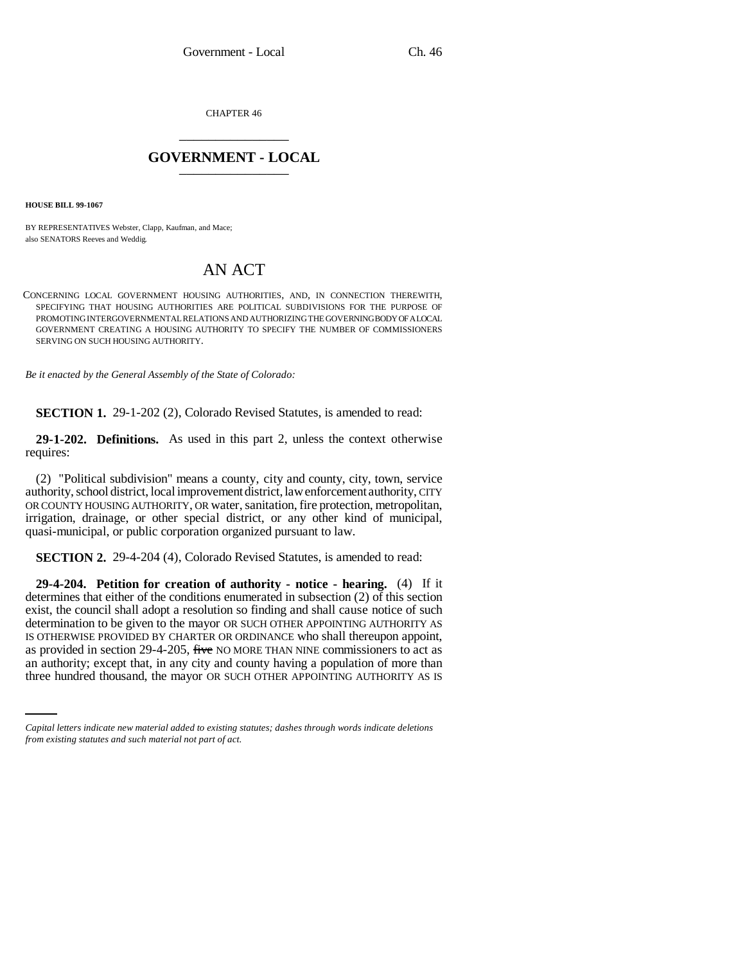CHAPTER 46 \_\_\_\_\_\_\_\_\_\_\_\_\_\_\_

## **GOVERNMENT - LOCAL** \_\_\_\_\_\_\_\_\_\_\_\_\_\_\_

**HOUSE BILL 99-1067** 

BY REPRESENTATIVES Webster, Clapp, Kaufman, and Mace; also SENATORS Reeves and Weddig.

## AN ACT

CONCERNING LOCAL GOVERNMENT HOUSING AUTHORITIES, AND, IN CONNECTION THEREWITH, SPECIFYING THAT HOUSING AUTHORITIES ARE POLITICAL SUBDIVISIONS FOR THE PURPOSE OF PROMOTING INTERGOVERNMENTAL RELATIONS AND AUTHORIZING THE GOVERNING BODY OF A LOCAL GOVERNMENT CREATING A HOUSING AUTHORITY TO SPECIFY THE NUMBER OF COMMISSIONERS SERVING ON SUCH HOUSING AUTHORITY.

*Be it enacted by the General Assembly of the State of Colorado:*

**SECTION 1.** 29-1-202 (2), Colorado Revised Statutes, is amended to read:

**29-1-202. Definitions.** As used in this part 2, unless the context otherwise requires:

(2) "Political subdivision" means a county, city and county, city, town, service authority, school district, local improvement district, law enforcement authority, CITY OR COUNTY HOUSING AUTHORITY, OR water, sanitation, fire protection, metropolitan, irrigation, drainage, or other special district, or any other kind of municipal, quasi-municipal, or public corporation organized pursuant to law.

**SECTION 2.** 29-4-204 (4), Colorado Revised Statutes, is amended to read:

as provided in section 29-4-205, five NO MORE THAN NINE commissioners to act as **29-4-204. Petition for creation of authority - notice - hearing.** (4) If it determines that either of the conditions enumerated in subsection (2) of this section exist, the council shall adopt a resolution so finding and shall cause notice of such determination to be given to the mayor OR SUCH OTHER APPOINTING AUTHORITY AS IS OTHERWISE PROVIDED BY CHARTER OR ORDINANCE who shall thereupon appoint, an authority; except that, in any city and county having a population of more than three hundred thousand, the mayor OR SUCH OTHER APPOINTING AUTHORITY AS IS

*Capital letters indicate new material added to existing statutes; dashes through words indicate deletions from existing statutes and such material not part of act.*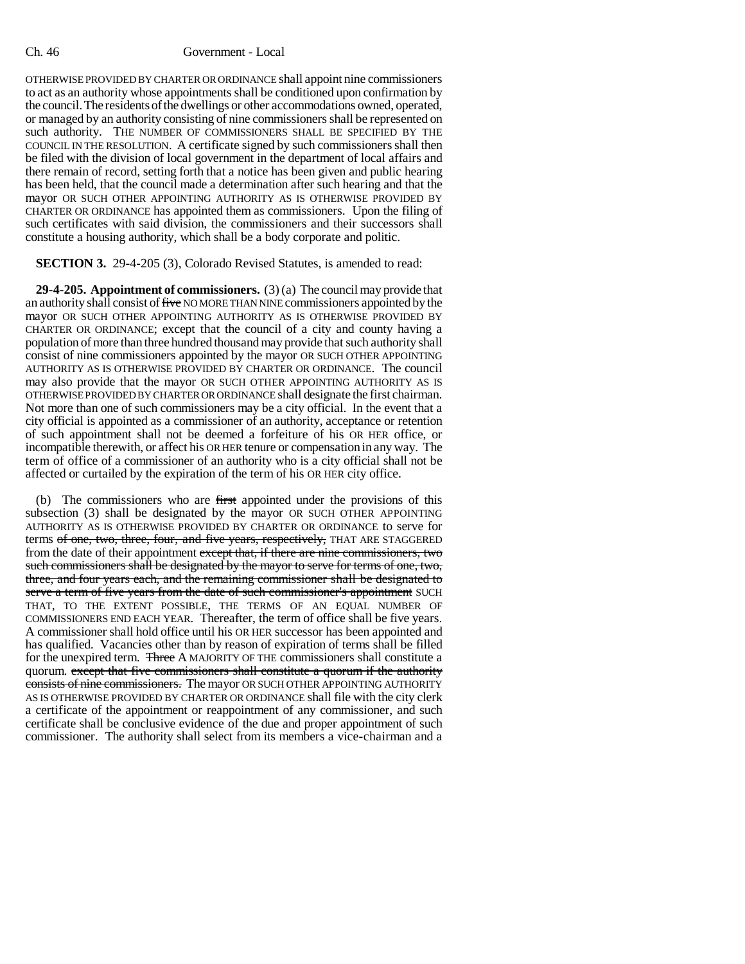## Ch. 46 Government - Local

OTHERWISE PROVIDED BY CHARTER OR ORDINANCE shall appoint nine commissioners to act as an authority whose appointments shall be conditioned upon confirmation by the council. The residents of the dwellings or other accommodations owned, operated, or managed by an authority consisting of nine commissioners shall be represented on such authority. THE NUMBER OF COMMISSIONERS SHALL BE SPECIFIED BY THE COUNCIL IN THE RESOLUTION. A certificate signed by such commissioners shall then be filed with the division of local government in the department of local affairs and there remain of record, setting forth that a notice has been given and public hearing has been held, that the council made a determination after such hearing and that the mayor OR SUCH OTHER APPOINTING AUTHORITY AS IS OTHERWISE PROVIDED BY CHARTER OR ORDINANCE has appointed them as commissioners. Upon the filing of such certificates with said division, the commissioners and their successors shall constitute a housing authority, which shall be a body corporate and politic.

**SECTION 3.** 29-4-205 (3), Colorado Revised Statutes, is amended to read:

**29-4-205. Appointment of commissioners.** (3) (a) The council may provide that an authority shall consist of five NO MORE THAN NINE commissioners appointed by the mayor OR SUCH OTHER APPOINTING AUTHORITY AS IS OTHERWISE PROVIDED BY CHARTER OR ORDINANCE; except that the council of a city and county having a population of more than three hundred thousand may provide that such authority shall consist of nine commissioners appointed by the mayor OR SUCH OTHER APPOINTING AUTHORITY AS IS OTHERWISE PROVIDED BY CHARTER OR ORDINANCE. The council may also provide that the mayor OR SUCH OTHER APPOINTING AUTHORITY AS IS OTHERWISE PROVIDED BY CHARTER OR ORDINANCE shall designate the first chairman. Not more than one of such commissioners may be a city official. In the event that a city official is appointed as a commissioner of an authority, acceptance or retention of such appointment shall not be deemed a forfeiture of his OR HER office, or incompatible therewith, or affect his OR HER tenure or compensation in any way. The term of office of a commissioner of an authority who is a city official shall not be affected or curtailed by the expiration of the term of his OR HER city office.

(b) The commissioners who are first appointed under the provisions of this subsection (3) shall be designated by the mayor OR SUCH OTHER APPOINTING AUTHORITY AS IS OTHERWISE PROVIDED BY CHARTER OR ORDINANCE to serve for terms of one, two, three, four, and five years, respectively, THAT ARE STAGGERED from the date of their appointment except that, if there are nine commissioners, two such commissioners shall be designated by the mayor to serve for terms of one, two, three, and four years each, and the remaining commissioner shall be designated to serve a term of five years from the date of such commissioner's appointment SUCH THAT, TO THE EXTENT POSSIBLE, THE TERMS OF AN EQUAL NUMBER OF COMMISSIONERS END EACH YEAR. Thereafter, the term of office shall be five years. A commissioner shall hold office until his OR HER successor has been appointed and has qualified. Vacancies other than by reason of expiration of terms shall be filled for the unexpired term. Three A MAJORITY OF THE commissioners shall constitute a quorum. except that five commissioners shall constitute a quorum if the authority consists of nine commissioners. The mayor OR SUCH OTHER APPOINTING AUTHORITY AS IS OTHERWISE PROVIDED BY CHARTER OR ORDINANCE shall file with the city clerk a certificate of the appointment or reappointment of any commissioner, and such certificate shall be conclusive evidence of the due and proper appointment of such commissioner. The authority shall select from its members a vice-chairman and a